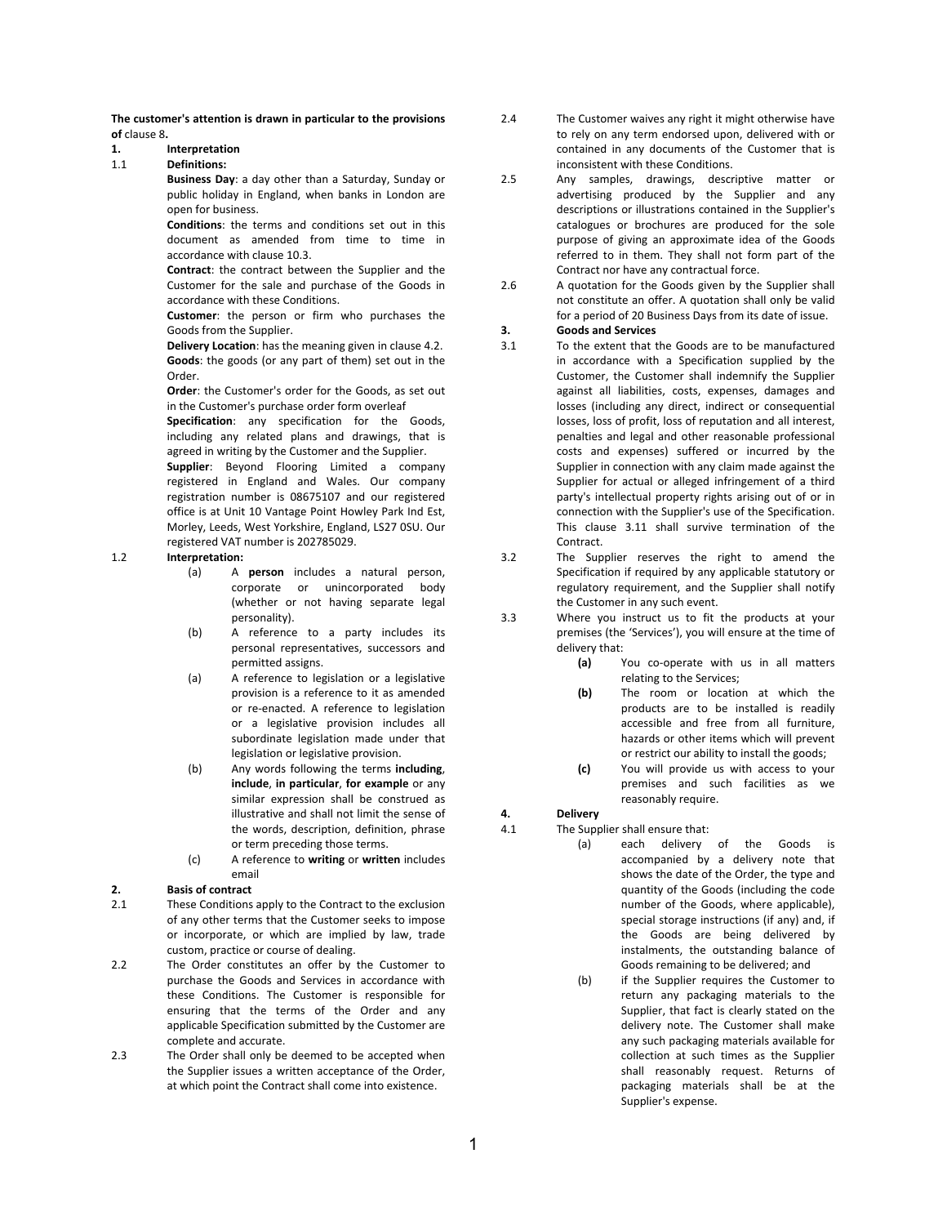**The customer's attention is drawn in particular to the provisions of** [clause 8](#page-2-0)**.**

#### **1. Interpretation**

# 1.1 **Definitions:**

**Business Day**: a day other than a Saturday, Sunday or public holiday in England, when banks in London are open for business.

**Conditions**: the terms and conditions set out in this document as amended from time to time in accordance with [clause 10.3.](#page-2-1)

**Contract**: the contract between the Supplier and the Customer for the sale and purchase of the Goods in accordance with these Conditions.

**Customer**: the person or firm who purchases the Goods from the Supplier.

**Delivery Location**: has the meaning given in [clause 4.2.](#page-1-0) **Goods**: the goods (or any part of them) set out in the Order.

**Order**: the Customer's order for the Goods, as set out in the Customer's purchase order form overleaf

**Specification**: any specification for the Goods, including any related plans and drawings, that is agreed in writing by the Customer and the Supplier.

**Supplier**: Beyond Flooring Limited a company registered in England and Wales. Our company registration number is 08675107 and our registered office is at Unit 10 Vantage Point Howley Park Ind Est, Morley, Leeds, West Yorkshire, England, LS27 0SU. Our registered VAT number is 202785029.

1.2 **Interpretation:** 

- (a) A **person** includes a natural person, corporate or unincorporated body (whether or not having separate legal personality).
- (b) A reference to a party includes its personal representatives, successors and permitted assigns.
- (a) A reference to legislation or a legislative provision is a reference to it as amended or re-enacted. A reference to legislation or a legislative provision includes all subordinate legislation made under that legislation or legislative provision.
- (b) Any words following the terms **including**, **include**, **in particular**, **for example** or any similar expression shall be construed as illustrative and shall not limit the sense of the words, description, definition, phrase or term preceding those terms.
- (c) A reference to **writing** or **written** includes email

### **2. Basis of contract**

2.1 These Conditions apply to the Contract to the exclusion of any other terms that the Customer seeks to impose or incorporate, or which are implied by law, trade custom, practice or course of dealing.

- 2.2 The Order constitutes an offer by the Customer to purchase the Goods and Services in accordance with these Conditions. The Customer is responsible for ensuring that the terms of the Order and any applicable Specification submitted by the Customer are complete and accurate.
- 2.3 The Order shall only be deemed to be accepted when the Supplier issues a written acceptance of the Order, at which point the Contract shall come into existence.
- 2.4 The Customer waives any right it might otherwise have to rely on any term endorsed upon, delivered with or contained in any documents of the Customer that is inconsistent with these Conditions.
- 2.5 Any samples, drawings, descriptive matter or advertising produced by the Supplier and any descriptions or illustrations contained in the Supplier's catalogues or brochures are produced for the sole purpose of giving an approximate idea of the Goods referred to in them. They shall not form part of the Contract nor have any contractual force.
- 2.6 A quotation for the Goods given by the Supplier shall not constitute an offer. A quotation shall only be valid for a period of 20 Business Days from its date of issue.

## **3. Goods and Services**

- <span id="page-0-0"></span>3.1 To the extent that the Goods are to be manufactured in accordance with a Specification supplied by the Customer, the Customer shall indemnify the Supplier against all liabilities, costs, expenses, damages and losses (including any direct, indirect or consequential losses, loss of profit, loss of reputation and all interest, penalties and legal and other reasonable professional costs and expenses) suffered or incurred by the Supplier in connection with any claim made against the Supplier for actual or alleged infringement of a third party's intellectual property rights arising out of or in connection with the Supplier's use of the Specification. This [clause 3.1](#page-0-0)1 shall survive termination of the Contract.
- 3.2 The Supplier reserves the right to amend the Specification if required by any applicable statutory or regulatory requirement, and the Supplier shall notify the Customer in any such event.

3.3 Where you instruct us to fit the products at your premises (the 'Services'), you will ensure at the time of delivery that:

- **(a)** You co-operate with us in all matters relating to the Services;
- **(b)** The room or location at which the products are to be installed is readily accessible and free from all furniture, hazards or other items which will prevent or restrict our ability to install the goods;
- **(c)** You will provide us with access to your premises and such facilities as we reasonably require.

# **4. Delivery**

- 4.1 The Supplier shall ensure that:
	- (a) each delivery of the Goods is accompanied by a delivery note that shows the date of the Order, the type and quantity of the Goods (including the code number of the Goods, where applicable), special storage instructions (if any) and, if the Goods are being delivered by instalments, the outstanding balance of Goods remaining to be delivered; and
	- (b) if the Supplier requires the Customer to return any packaging materials to the Supplier, that fact is clearly stated on the delivery note. The Customer shall make any such packaging materials available for collection at such times as the Supplier shall reasonably request. Returns of packaging materials shall be at the Supplier's expense.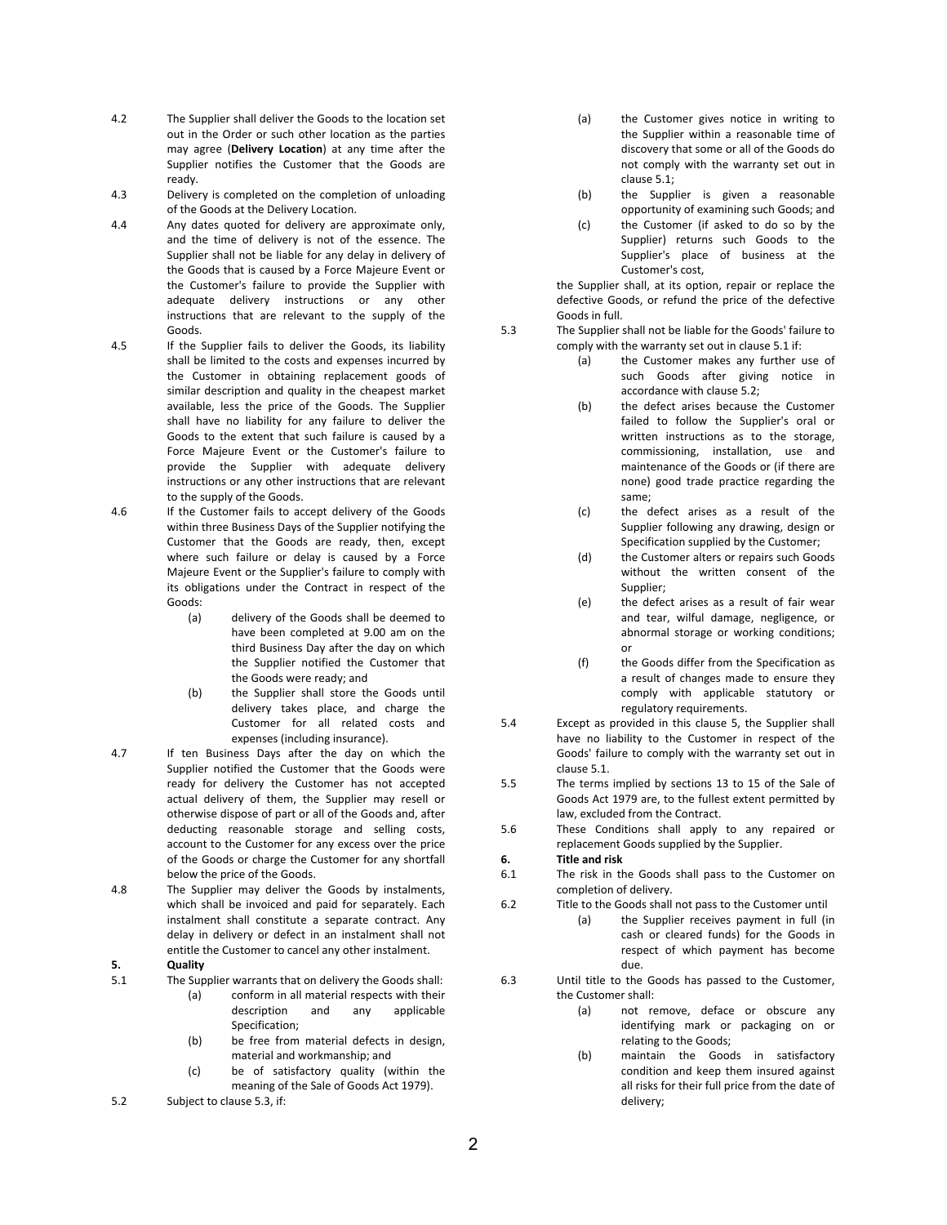- <span id="page-1-0"></span>4.2 The Supplier shall deliver the Goods to the location set out in the Order or such other location as the parties may agree (**Delivery Location**) at any time after the Supplier notifies the Customer that the Goods are ready.
- 4.3 Delivery is completed on the completion of unloading of the Goods at the Delivery Location.
- 4.4 Any dates quoted for delivery are approximate only, and the time of delivery is not of the essence. The Supplier shall not be liable for any delay in delivery of the Goods that is caused by a Force Majeure Event or the Customer's failure to provide the Supplier with adequate delivery instructions or any other instructions that are relevant to the supply of the Goods.
- 4.5 If the Supplier fails to deliver the Goods, its liability shall be limited to the costs and expenses incurred by the Customer in obtaining replacement goods of similar description and quality in the cheapest market available, less the price of the Goods. The Supplier shall have no liability for any failure to deliver the Goods to the extent that such failure is caused by a Force Majeure Event or the Customer's failure to provide the Supplier with adequate delivery instructions or any other instructions that are relevant to the supply of the Goods.
- 4.6 If the Customer fails to accept delivery of the Goods within three Business Days of the Supplier notifying the Customer that the Goods are ready, then, except where such failure or delay is caused by a Force Majeure Event or the Supplier's failure to comply with its obligations under the Contract in respect of the Goods:
	- (a) delivery of the Goods shall be deemed to have been completed at 9.00 am on the third Business Day after the day on which the Supplier notified the Customer that the Goods were ready; and
	- (b) the Supplier shall store the Goods until delivery takes place, and charge the Customer for all related costs and expenses (including insurance).
- 4.7 If ten Business Days after the day on which the Supplier notified the Customer that the Goods were ready for delivery the Customer has not accepted actual delivery of them, the Supplier may resell or otherwise dispose of part or all of the Goods and, after deducting reasonable storage and selling costs, account to the Customer for any excess over the price of the Goods or charge the Customer for any shortfall below the price of the Goods.
- 4.8 The Supplier may deliver the Goods by instalments, which shall be invoiced and paid for separately. Each instalment shall constitute a separate contract. Any delay in delivery or defect in an instalment shall not entitle the Customer to cancel any other instalment.
- <span id="page-1-4"></span>**5. Quality**
- <span id="page-1-2"></span>5.1 The Supplier warrants that on delivery the Goods shall:
	- (a) conform in all material respects with their description and any applicable Specification;
	- (b) be free from material defects in design, material and workmanship; and
	- (c) be of satisfactory quality (within the meaning of the Sale of Goods Act 1979).
- <span id="page-1-3"></span>5.2 Subject to [clause 5.3,](#page-1-1) if:
- (a) the Customer gives notice in writing to the Supplier within a reasonable time of discovery that some or all of the Goods do not comply with the warranty set out in [clause 5.1](#page-1-2);
- (b) the Supplier is given a reasonable opportunity of examining such Goods; and
- (c) the Customer (if asked to do so by the Supplier) returns such Goods to the Supplier's place of business at the Customer's cost,

the Supplier shall, at its option, repair or replace the defective Goods, or refund the price of the defective Goods in full.

- <span id="page-1-1"></span>5.3 The Supplier shall not be liable for the Goods' failure to comply with the warranty set out in [clause 5.1](#page-1-2) if:
	- (a) the Customer makes any further use of such Goods after giving notice in accordance with [clause 5.2](#page-1-3);
	- (b) the defect arises because the Customer failed to follow the Supplier's oral or written instructions as to the storage, commissioning, installation, use and maintenance of the Goods or (if there are none) good trade practice regarding the same;
	- (c) the defect arises as a result of the Supplier following any drawing, design or Specification supplied by the Customer;
	- (d) the Customer alters or repairs such Goods without the written consent of the Supplier;
	- (e) the defect arises as a result of fair wear and tear, wilful damage, negligence, or abnormal storage or working conditions; or
	- (f) the Goods differ from the Specification as a result of changes made to ensure they comply with applicable statutory or regulatory requirements.
- 5.4 Except as provided in this [clause 5](#page-1-4), the Supplier shall have no liability to the Customer in respect of the Goods' failure to comply with the warranty set out in [clause 5.1](#page-1-2).
- 5.5 The terms implied by sections 13 to 15 of the Sale of Goods Act 1979 are, to the fullest extent permitted by law, excluded from the Contract.
- 5.6 These Conditions shall apply to any repaired or replacement Goods supplied by the Supplier.

# **6. Title and risk**

- 6.1 The risk in the Goods shall pass to the Customer on completion of delivery.
- 6.2 Title to the Goods shall not pass to the Customer until
	- (a) the Supplier receives payment in full (in cash or cleared funds) for the Goods in respect of which payment has become due.
- 6.3 Until title to the Goods has passed to the Customer, the Customer shall:
	- (a) not remove, deface or obscure any identifying mark or packaging on or relating to the Goods;
	- (b) maintain the Goods in satisfactory condition and keep them insured against all risks for their full price from the date of delivery;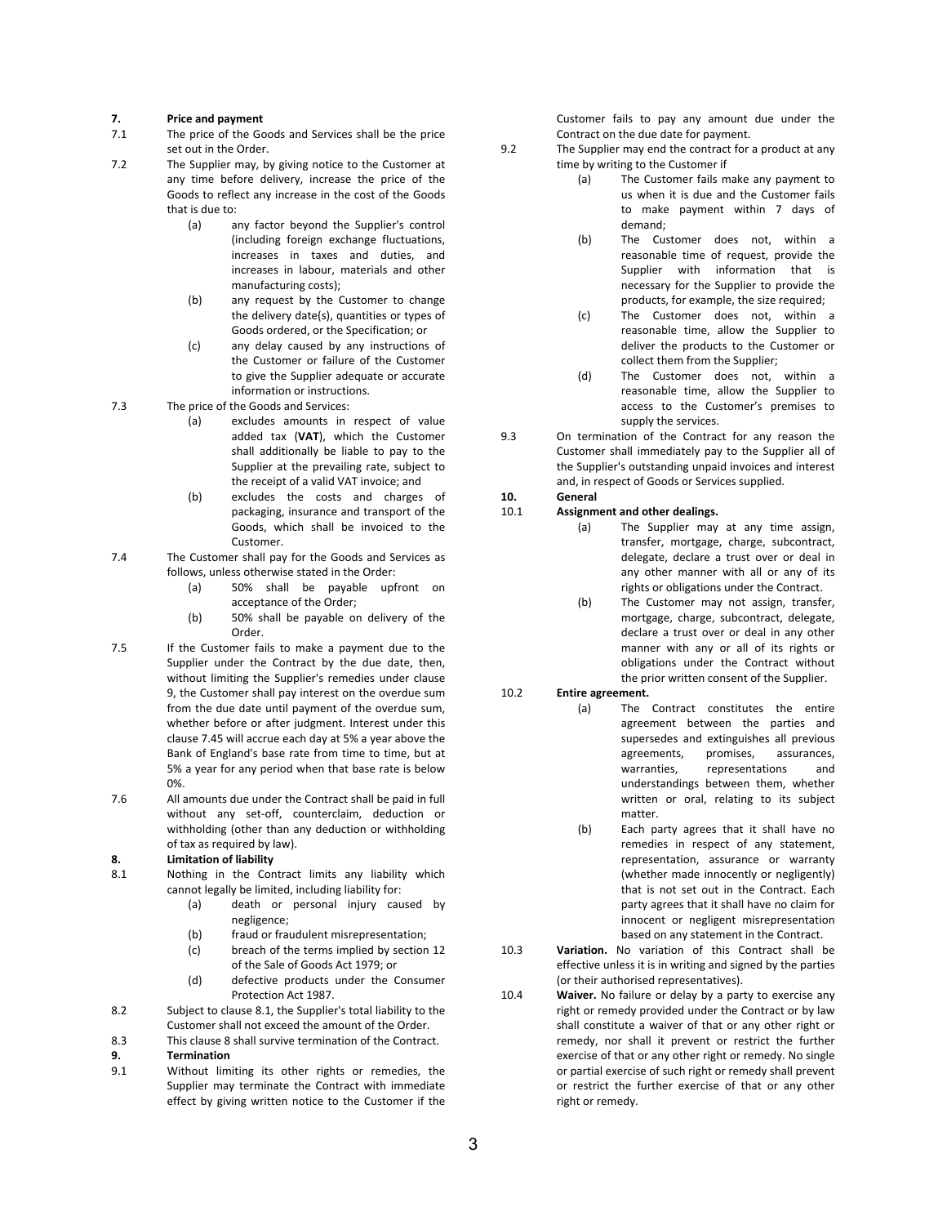#### **7. Price and payment**

- 7.1 The price of the Goods and Services shall be the price set out in the Order.
- 7.2 The Supplier may, by giving notice to the Customer at any time before delivery, increase the price of the Goods to reflect any increase in the cost of the Goods that is due to:
	- (a) any factor beyond the Supplier's control (including foreign exchange fluctuations, increases in taxes and duties, and increases in labour, materials and other manufacturing costs);
	- (b) any request by the Customer to change the delivery date(s), quantities or types of Goods ordered, or the Specification; or
	- (c) any delay caused by any instructions of the Customer or failure of the Customer to give the Supplier adequate or accurate information or instructions.
- 7.3 The price of the Goods and Services:
	- (a) excludes amounts in respect of value added tax (**VAT**), which the Customer shall additionally be liable to pay to the Supplier at the prevailing rate, subject to the receipt of a valid VAT invoice; and
	- (b) excludes the costs and charges of packaging, insurance and transport of the Goods, which shall be invoiced to the Customer.
- <span id="page-2-3"></span>7.4 The Customer shall pay for the Goods and Services as follows, unless otherwise stated in the Order:
	- (a) 50% shall be payable upfront on acceptance of the Order;
	- (b) 50% shall be payable on delivery of the Order.
- 7.5 If the Customer fails to make a payment due to the Supplier under the Contract by the due date, then, without limiting the Supplier's remedies under [clause](#page-2-2)  [9](#page-2-2), the Customer shall pay interest on the overdue sum from the due date until payment of the overdue sum, whether before or after judgment. Interest under this [clause 7.4](#page-2-3)5 will accrue each day at 5% a year above the Bank of England's base rate from time to time, but at 5% a year for any period when that base rate is below 0%.
- 7.6 All amounts due under the Contract shall be paid in full without any set-off, counterclaim, deduction or withholding (other than any deduction or withholding of tax as required by law).

#### <span id="page-2-0"></span>**8. Limitation of liability**

- <span id="page-2-4"></span>8.1 Nothing in the Contract limits any liability which cannot legally be limited, including liability for:
	- (a) death or personal injury caused by negligence;
	- (b) fraud or fraudulent misrepresentation;
	- (c) breach of the terms implied by section 12 of the Sale of Goods Act 1979; or
	- (d) defective products under the Consumer Protection Act 1987.
- 8.2 Subject to [clause 8.1](#page-2-4), the Supplier's total liability to the Customer shall not exceed the amount of the Order.
- 8.3 This [clause 8](#page-2-0) shall survive termination of the Contract.

### <span id="page-2-2"></span>**9. Termination**

9.1 Without limiting its other rights or remedies, the Supplier may terminate the Contract with immediate effect by giving written notice to the Customer if the Customer fails to pay any amount due under the Contract on the due date for payment.

- 9.2 The Supplier may end the contract for a product at any time by writing to the Customer if
	- (a) The Customer fails make any payment to us when it is due and the Customer fails to make payment within 7 days of demand;
	- (b) The Customer does not, within a reasonable time of request, provide the Supplier with information that is necessary for the Supplier to provide the products, for example, the size required;
	- (c) The Customer does not, within a reasonable time, allow the Supplier to deliver the products to the Customer or collect them from the Supplier;
	- (d) The Customer does not, within a reasonable time, allow the Supplier to access to the Customer's premises to supply the services.
- 9.3 On termination of the Contract for any reason the Customer shall immediately pay to the Supplier all of the Supplier's outstanding unpaid invoices and interest and, in respect of Goods or Services supplied.

#### **10. General**

## 10.1 **Assignment and other dealings.**

- (a) The Supplier may at any time assign, transfer, mortgage, charge, subcontract, delegate, declare a trust over or deal in any other manner with all or any of its rights or obligations under the Contract.
- (b) The Customer may not assign, transfer, mortgage, charge, subcontract, delegate, declare a trust over or deal in any other manner with any or all of its rights or obligations under the Contract without the prior written consent of the Supplier.

#### 10.2 **Entire agreement.**

- (a) The Contract constitutes the entire agreement between the parties and supersedes and extinguishes all previous agreements, promises, assurances, warranties, representations and understandings between them, whether written or oral, relating to its subject matter.
- (b) Each party agrees that it shall have no remedies in respect of any statement, representation, assurance or warranty (whether made innocently or negligently) that is not set out in the Contract. Each party agrees that it shall have no claim for innocent or negligent misrepresentation based on any statement in the Contract.
- <span id="page-2-1"></span>10.3 **Variation.** No variation of this Contract shall be effective unless it is in writing and signed by the parties (or their authorised representatives).
- 10.4 **Waiver.** No failure or delay by a party to exercise any right or remedy provided under the Contract or by law shall constitute a waiver of that or any other right or remedy, nor shall it prevent or restrict the further exercise of that or any other right or remedy. No single or partial exercise of such right or remedy shall prevent or restrict the further exercise of that or any other right or remedy.